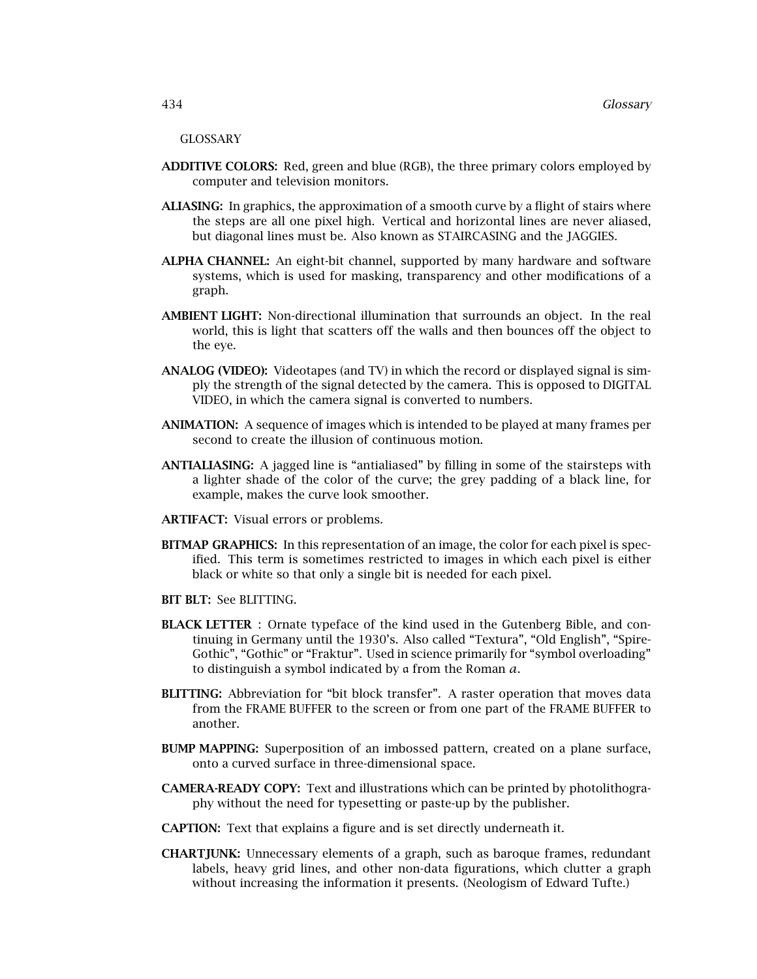#### GLOSSARY

- **ADDITIVE COLORS:** Red, green and blue (RGB), the three primary colors employed by computer and television monitors.
- **ALIASING:** In graphics, the approximation of a smooth curve by a flight of stairs where the steps are all one pixel high. Vertical and horizontal lines are never aliased, but diagonal lines must be. Also known as STAIRCASING and the JAGGIES.
- **ALPHA CHANNEL:** An eight-bit channel, supported by many hardware and software systems, which is used for masking, transparency and other modifications of a graph.
- **AMBIENT LIGHT:** Non-directional illumination that surrounds an object. In the real world, this is light that scatters off the walls and then bounces off the object to the eye.
- **ANALOG (VIDEO):** Videotapes (and TV) in which the record or displayed signal is simply the strength of the signal detected by the camera. This is opposed to DIGITAL VIDEO, in which the camera signal is converted to numbers.
- **ANIMATION:** A sequence of images which is intended to be played at many frames per second to create the illusion of continuous motion.
- **ANTIALIASING:** A jagged line is "antialiased" by filling in some of the stairsteps with a lighter shade of the color of the curve; the grey padding of a black line, for example, makes the curve look smoother.
- **ARTIFACT:** Visual errors or problems.
- **BITMAP GRAPHICS:** In this representation of an image, the color for each pixel is specified. This term is sometimes restricted to images in which each pixel is either black or white so that only a single bit is needed for each pixel.
- **BIT BLT:** See BLITTING.
- **BLACK LETTER** : Ornate typeface of the kind used in the Gutenberg Bible, and continuing in Germany until the 1930's. Also called "Textura", "Old English", "Spire-Gothic", "Gothic" or "Fraktur". Used in science primarily for "symbol overloading" to distinguish a symbol indicated by a from the Roman *a*.
- **BLITTING:** Abbreviation for "bit block transfer". A raster operation that moves data from the FRAME BUFFER to the screen or from one part of the FRAME BUFFER to another.
- **BUMP MAPPING:** Superposition of an imbossed pattern, created on a plane surface, onto a curved surface in three-dimensional space.
- **CAMERA-READY COPY:** Text and illustrations which can be printed by photolithography without the need for typesetting or paste-up by the publisher.
- **CAPTION:** Text that explains a figure and is set directly underneath it.
- **CHARTJUNK:** Unnecessary elements of a graph, such as baroque frames, redundant labels, heavy grid lines, and other non-data figurations, which clutter a graph without increasing the information it presents. (Neologism of Edward Tufte.)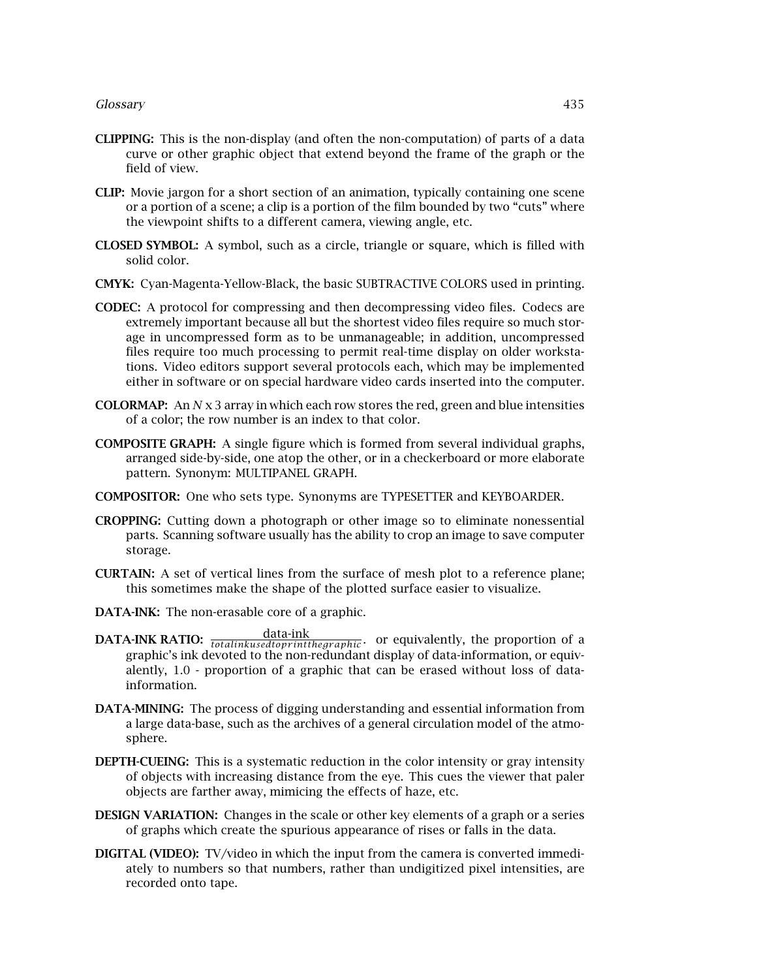- **CLIPPING:** This is the non-display (and often the non-computation) of parts of a data curve or other graphic object that extend beyond the frame of the graph or the field of view.
- **CLIP:** Movie jargon for a short section of an animation, typically containing one scene or a portion of a scene; a clip is a portion of the film bounded by two "cuts" where the viewpoint shifts to a different camera, viewing angle, etc.
- **CLOSED SYMBOL:** A symbol, such as a circle, triangle or square, which is filled with solid color.
- **CMYK:** Cyan-Magenta-Yellow-Black, the basic SUBTRACTIVE COLORS used in printing.
- **CODEC:** A protocol for compressing and then decompressing video files. Codecs are extremely important because all but the shortest video files require so much storage in uncompressed form as to be unmanageable; in addition, uncompressed files require too much processing to permit real-time display on older workstations. Video editors support several protocols each, which may be implemented either in software or on special hardware video cards inserted into the computer.
- **COLORMAP:** An *N* x 3 array in which each row stores the red, green and blue intensities of a color; the row number is an index to that color.
- **COMPOSITE GRAPH:** A single figure which is formed from several individual graphs, arranged side-by-side, one atop the other, or in a checkerboard or more elaborate pattern. Synonym: MULTIPANEL GRAPH.
- **COMPOSITOR:** One who sets type. Synonyms are TYPESETTER and KEYBOARDER.
- **CROPPING:** Cutting down a photograph or other image so to eliminate nonessential parts. Scanning software usually has the ability to crop an image to save computer storage.
- **CURTAIN:** A set of vertical lines from the surface of mesh plot to a reference plane; this sometimes make the shape of the plotted surface easier to visualize.
- **DATA-INK:** The non-erasable core of a graphic.
- **DATA-INK RATIO:**  $\frac{\text{data-ink}}{\text{totalinkused to primitive graphic}}$  or equivalently, the proportion of a graphic's ink devoted to the non-redundant display of data-information, or equivalently, 1.0 - proportion of a graphic that can be erased without loss of datainformation.
- **DATA-MINING:** The process of digging understanding and essential information from a large data-base, such as the archives of a general circulation model of the atmosphere.
- **DEPTH-CUEING:** This is a systematic reduction in the color intensity or gray intensity of objects with increasing distance from the eye. This cues the viewer that paler objects are farther away, mimicing the effects of haze, etc.
- **DESIGN VARIATION:** Changes in the scale or other key elements of a graph or a series of graphs which create the spurious appearance of rises or falls in the data.
- **DIGITAL (VIDEO):** TV/video in which the input from the camera is converted immediately to numbers so that numbers, rather than undigitized pixel intensities, are recorded onto tape.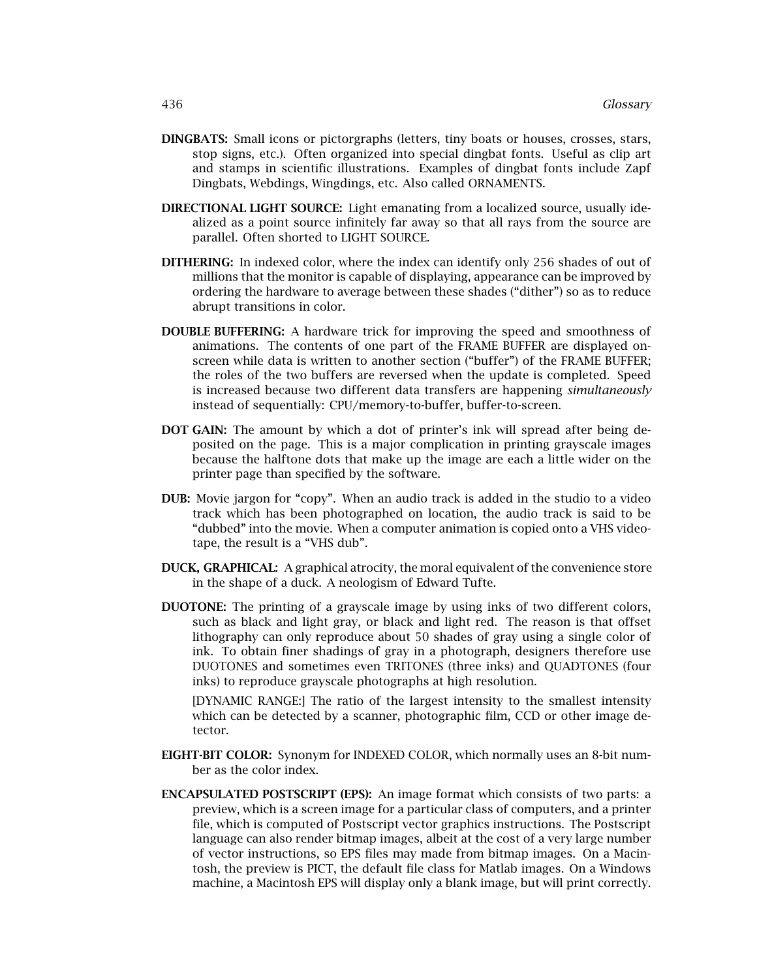- **DINGBATS:** Small icons or pictorgraphs (letters, tiny boats or houses, crosses, stars, stop signs, etc.). Often organized into special dingbat fonts. Useful as clip art and stamps in scientific illustrations. Examples of dingbat fonts include Zapf Dingbats, Webdings, Wingdings, etc. Also called ORNAMENTS.
- **DIRECTIONAL LIGHT SOURCE:** Light emanating from a localized source, usually idealized as a point source infinitely far away so that all rays from the source are parallel. Often shorted to LIGHT SOURCE.
- **DITHERING:** In indexed color, where the index can identify only 256 shades of out of millions that the monitor is capable of displaying, appearance can be improved by ordering the hardware to average between these shades ("dither") so as to reduce abrupt transitions in color.
- **DOUBLE BUFFERING:** A hardware trick for improving the speed and smoothness of animations. The contents of one part of the FRAME BUFFER are displayed onscreen while data is written to another section ("buffer") of the FRAME BUFFER; the roles of the two buffers are reversed when the update is completed. Speed is increased because two different data transfers are happening *simultaneously* instead of sequentially: CPU/memory-to-buffer, buffer-to-screen.
- **DOT GAIN:** The amount by which a dot of printer's ink will spread after being deposited on the page. This is a major complication in printing grayscale images because the halftone dots that make up the image are each a little wider on the printer page than specified by the software.
- **DUB:** Movie jargon for "copy". When an audio track is added in the studio to a video track which hasbeen photographed on location, the audio track issaid to be "dubbed" into the movie. When a computer animation iscopied onto a VHS videotape, the result is a "VHS dub".
- **DUCK, GRAPHICAL:** A graphical atrocity, the moral equivalent of the convenience store in the shape of a duck. A neologism of Edward Tufte.
- **DUOTONE:** The printing of a grayscale image by using inks of two different colors, such as black and light gray, or black and light red. The reason is that offset lithography can only reproduce about 50 shades of gray using a single color of ink. To obtain finer shadings of gray in a photograph, designers therefore use DUOTONES and sometimes even TRITONES (three inks) and QUADTONES (four inks) to reproduce grayscale photographs at high resolution.

[DYNAMIC RANGE:] The ratio of the largest intensity to the smallest intensity which can be detected by a scanner, photographic film, CCD or other image detector.

- **EIGHT-BIT COLOR:** Synonym for INDEXED COLOR, which normally uses an 8-bit number as the color index.
- **ENCAPSULATED POSTSCRIPT (EPS):** An image format which consists of two parts: a preview, which is a screen image for a particular class of computers, and a printer file, which is computed of Postscript vector graphics instructions. The Postscript language can also render bitmap images, albeit at the cost of a very large number of vector instructions, so EPS files may made from bitmap images. On a Macintosh, the preview is PICT, the default file class for Matlab images. On a Windows machine, a Macintosh EPS will display only a blank image, but will print correctly.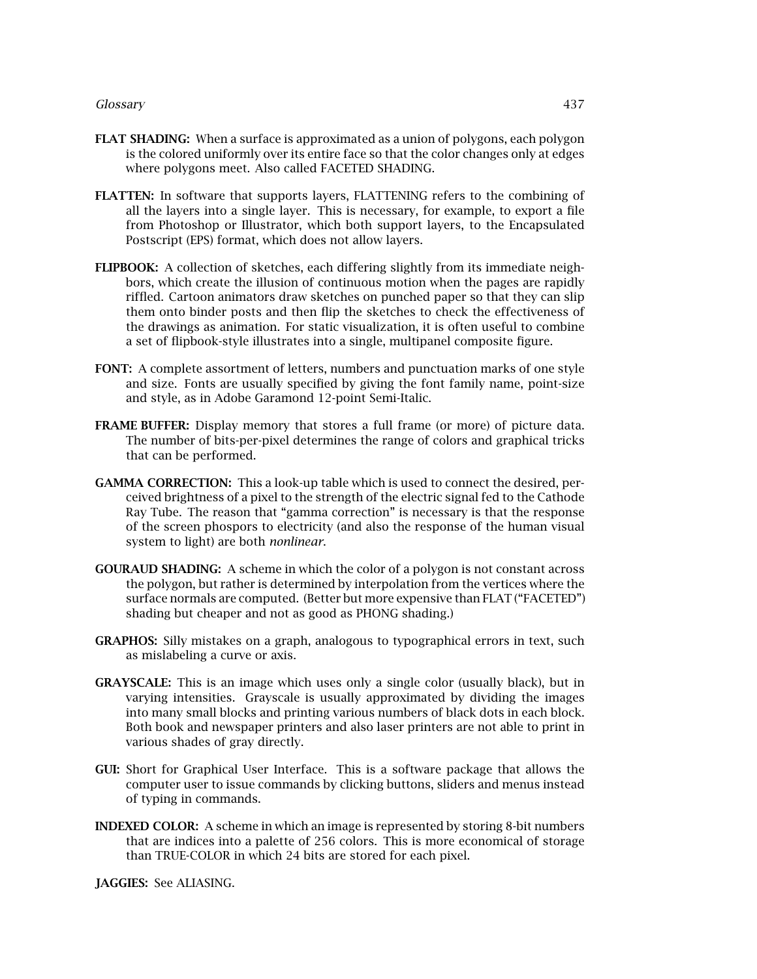## *Glossary* 437

- **FLAT SHADING:** When a surface is approximated as a union of polygons, each polygon is the colored uniformly over its entire face so that the color changes only at edges where polygons meet. Also called FACETED SHADING.
- **FLATTEN:** In software that supports layers, FLATTENING refers to the combining of all the layers into a single layer. This is necessary, for example, to export a file from Photoshop or Illustrator, which both support layers, to the Encapsulated Postscript (EPS) format, which does not allow layers.
- **FLIPBOOK:** A collection of sketches, each differing slightly from its immediate neighbors, which create the illusion of continuous motion when the pages are rapidly riffled. Cartoon animators draw sketches on punched paper so that they can slip them onto binder posts and then flip the sketches to check the effectiveness of the drawings as animation. For static visualization, it is often useful to combine a set of flipbook-style illustrates into a single, multipanel composite figure.
- **FONT:** A complete assortment of letters, numbers and punctuation marks of one style and size. Fonts are usually specified by giving the font family name, point-size and style, as in Adobe Garamond 12-point Semi-Italic.
- **FRAME BUFFER:** Display memory that stores a full frame (or more) of picture data. The number of bits-per-pixel determines the range of colors and graphical tricks that can be performed.
- **GAMMA CORRECTION:** This a look-up table which is used to connect the desired, perceived brightness of a pixel to the strength of the electric signal fed to the Cathode Ray Tube. The reason that "gamma correction" is necessary is that the response of the screen phospors to electricity (and also the response of the human visual system to light) are both *nonlinear*.
- **GOURAUD SHADING:** A scheme in which the color of a polygon is not constant across the polygon, but rather is determined by interpolation from the vertices where the surface normals are computed. (Better but more expensive than FLAT ("FACETED") shading but cheaper and not as good as PHONG shading.)
- **GRAPHOS:** Silly mistakes on a graph, analogous to typographical errors in text, such as mislabeling a curve or axis.
- **GRAYSCALE:** This is an image which uses only a single color (usually black), but in varying intensities. Grayscale is usually approximated by dividing the images into many small blocks and printing various numbers of black dots in each block. Both book and newspaper printers and also laser printers are not able to print in various shades of gray directly.
- **GUI:** Short for Graphical User Interface. This is a software package that allows the computer user to issue commands by clicking buttons, sliders and menus instead of typing in commands.
- **INDEXED COLOR:** A scheme in which an image is represented by storing 8-bit numbers that are indices into a palette of 256 colors. This is more economical of storage than TRUE-COLOR in which 24 bits are stored for each pixel.

**JAGGIES:** See ALIASING.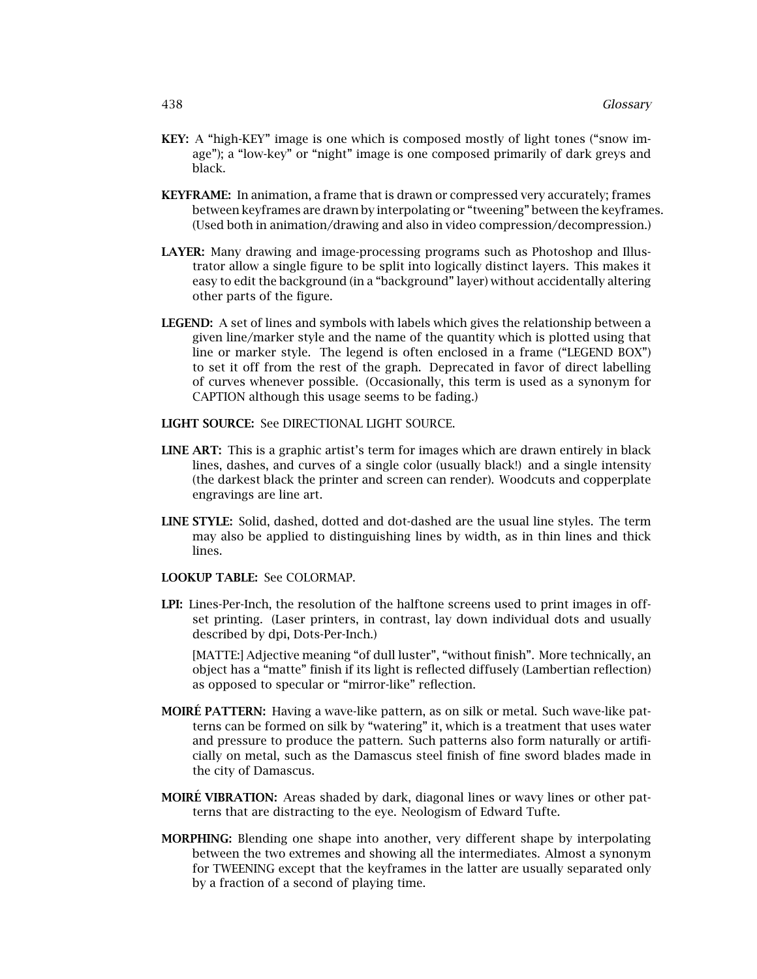- **KEY:** A "high-KEY" image is one which is composed mostly of light tones ("snow image"); a "low-key" or "night" image is one composed primarily of dark greys and black.
- **KEYFRAME:** In animation, a frame that is drawn or compressed very accurately; frames between keyframes are drawn by interpolating or "tweening" between the keyframes. (Used both in animation/drawing and also in video compression/decompression.)
- **LAYER:** Many drawing and image-processing programs such as Photoshop and Illustrator allow a single figure to be split into logically distinct layers. This makes it easy to edit the background (in a "background" layer) without accidentally altering other parts of the figure.
- **LEGEND:** A set of lines and symbols with labels which gives the relationship between a given line/marker style and the name of the quantity which is plotted using that line or marker style. The legend is often enclosed in a frame ("LEGEND BOX") to set it off from the rest of the graph. Deprecated in favor of direct labelling of curves whenever possible. (Occasionally, this term is used as a synonym for CAPTION although this usage seems to be fading.)
- **LIGHT SOURCE:** See DIRECTIONAL LIGHT SOURCE.
- **LINE ART:** This is a graphic artist's term for images which are drawn entirely in black lines, dashes, and curves of a single color (usually black!) and a single intensity (the darkest black the printer and screen can render). Woodcuts and copperplate engravings are line art.
- **LINE STYLE:** Solid, dashed, dotted and dot-dashed are the usual line styles. The term may also be applied to distinguishing lines by width, as in thin lines and thick lines.
- **LOOKUP TABLE:** See COLORMAP.
- **LPI:** Lines-Per-Inch, the resolution of the halftone screens used to print images in offset printing. (Laser printers, in contrast, lay down individual dots and usually described by dpi, Dots-Per-Inch.)

[MATTE:] Adjective meaning "of dull luster", "without finish". More technically, an object has a "matte" finish if its light is reflected diffusely (Lambertian reflection) as opposed to specular or "mirror-like" reflection.

- **MOIRE PATTERN:** Having a wave-like pattern, as on silk or metal. Such wave-like patterns can be formed on silk by "watering" it, which is a treatment that uses water and pressure to produce the pattern. Such patterns also form naturally or artificially on metal, such as the Damascus steel finish of fine sword blades made in the city of Damascus.
- **MOIRÉ VIBRATION:** Areas shaded by dark, diagonal lines or wavy lines or other patterns that are distracting to the eye. Neologism of Edward Tufte.
- **MORPHING:** Blending one shape into another, very different shape by interpolating between the two extremes and showing all the intermediates. Almost a synonym for TWEENING except that the keyframes in the latter are usually separated only by a fraction of a second of playing time.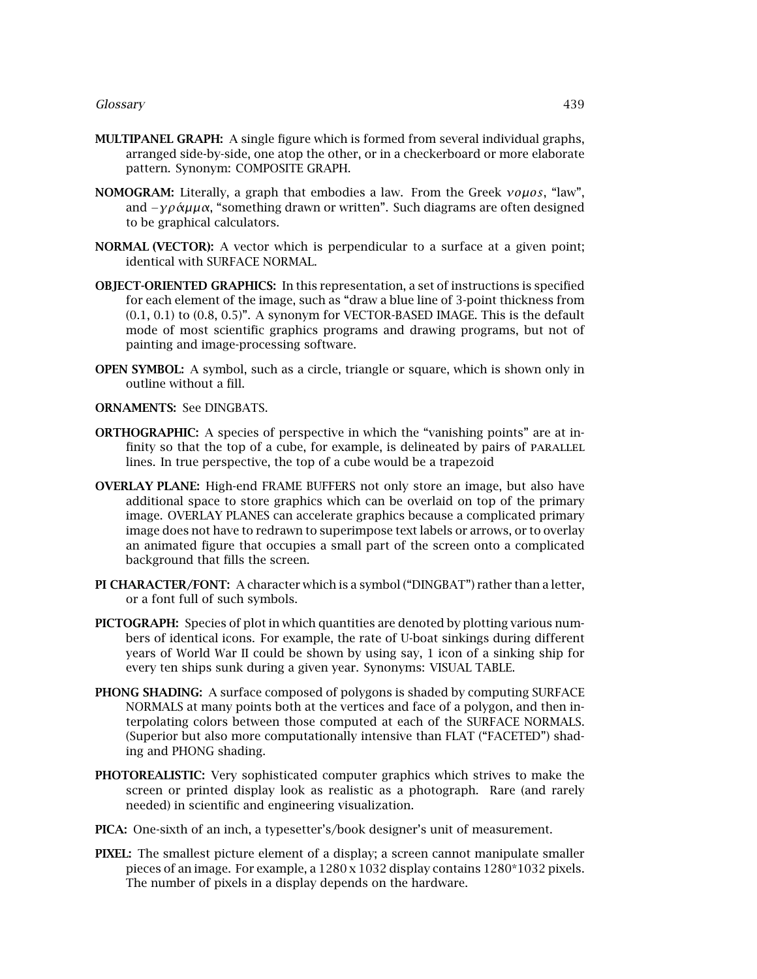- **MULTIPANEL GRAPH:** A single figure which is formed from several individual graphs, arranged side-by-side, one atop the other, or in a checkerboard or more elaborate pattern. Synonym: COMPOSITE GRAPH.
- **NOMOGRAM:** Literally, a graph that embodiesa law. From the Greek *νoµos*, "law", and *–γράμμα*, "something drawn or written". Such diagrams are often designed to be graphical calculators.
- **NORMAL (VECTOR):** A vector which is perpendicular to a surface at a given point; identical with SURFACE NORMAL.
- **OBJECT-ORIENTED GRAPHICS:** In this representation, a set of instructions is specified for each element of the image, such as "draw a blue line of 3-point thickness from  $(0.1, 0.1)$  to  $(0.8, 0.5)$ ". A synonym for VECTOR-BASED IMAGE. This is the default mode of most scientific graphics programs and drawing programs, but not of painting and image-processing software.
- **OPEN SYMBOL:** A symbol, such as a circle, triangle or square, which is shown only in outline without a fill.

# **ORNAMENTS:** See DINGBATS.

- **ORTHOGRAPHIC:** A species of perspective in which the "vanishing points" are at infinity so that the top of a cube, for example, is delineated by pairs of PARALLEL lines. In true perspective, the top of a cube would be a trapezoid
- **OVERLAY PLANE:** High-end FRAME BUFFERS not only store an image, but also have additional space to store graphics which can be overlaid on top of the primary image. OVERLAY PLANES can accelerate graphics because a complicated primary image does not have to redrawn to superimpose text labels or arrows, or to overlay an animated figure that occupies a small part of the screen onto a complicated background that fills the screen.
- **PI CHARACTER/FONT:** A character which isa symbol ("DINGBAT") rather than a letter, or a font full of such symbols.
- **PICTOGRAPH:** Species of plot in which quantities are denoted by plotting various numbers of identical icons. For example, the rate of U-boat sinkings during different years of World War II could be shown by using say, 1 icon of a sinking ship for every ten ships sunk during a given year. Synonyms: VISUAL TABLE.
- **PHONG SHADING:** A surface composed of polygons is shaded by computing SURFACE NORMALS at many points both at the vertices and face of a polygon, and then interpolating colors between those computed at each of the SURFACE NORMALS. (Superior but also more computationally intensive than FLAT ("FACETED") shading and PHONG shading.
- **PHOTOREALISTIC:** Very sophisticated computer graphics which strives to make the screen or printed display look as realistic as a photograph. Rare (and rarely needed) in scientific and engineering visualization.
- **PICA:** One-sixth of an inch, a typesetter's/book designer's unit of measurement.
- **PIXEL:** The smallest picture element of a display; a screen cannot manipulate smaller pieces of an image. For example, a  $1280 \times 1032$  display contains  $1280*1032$  pixels. The number of pixels in a display depends on the hardware.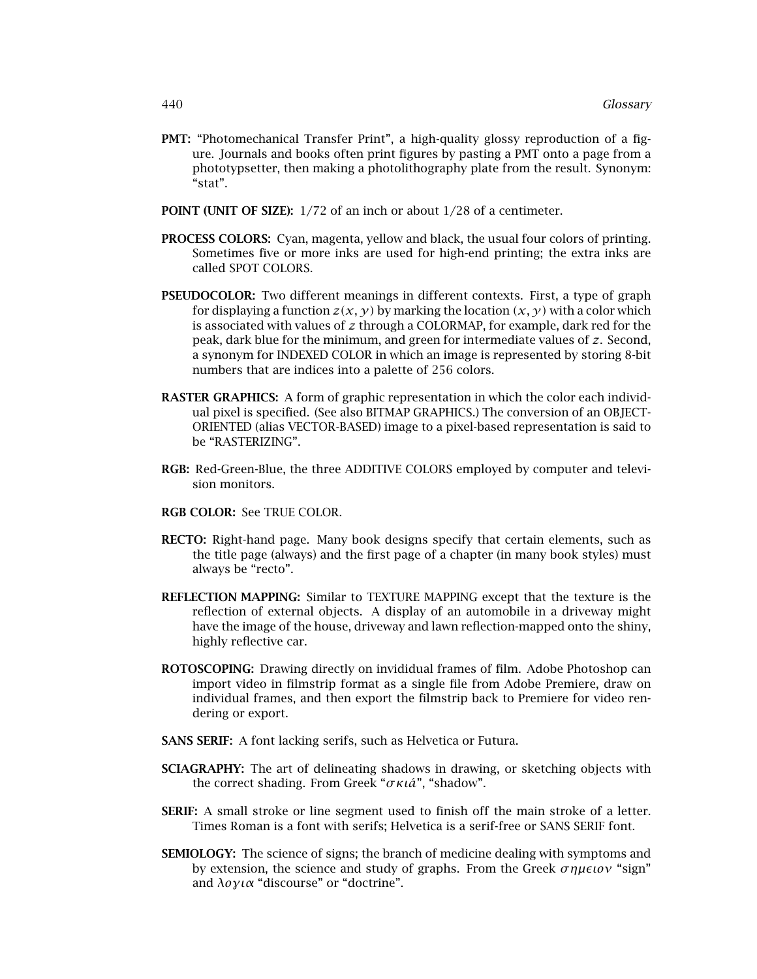- **PMT:** "Photomechanical Transfer Print", a high-quality glossy reproduction of a figure. Journals and books often print figures by pasting a PMT onto a page from a phototypsetter, then making a photolithography plate from the result. Synonym: "stat".
- **POINT (UNIT OF SIZE):** 1/72 of an inch or about 1/28 of a centimeter.
- **PROCESS COLORS:** Cyan, magenta, yellow and black, the usual four colors of printing. Sometimes five or more inks are used for high-end printing; the extra inks are called SPOT COLORS.
- **PSEUDOCOLOR:** Two different meanings in different contexts. First, a type of graph for displaying a function  $z(x, y)$  by marking the location  $(x, y)$  with a color which is associated with values of *z* through a COLORMAP, for example, dark red for the peak, dark blue for the minimum, and green for intermediate values of z. Second, a synonym for INDEXED COLOR in which an image is represented by storing 8-bit numbers that are indices into a palette of 256 colors.
- **RASTER GRAPHICS:** A form of graphic representation in which the color each individual pixel is specified. (See also BITMAP GRAPHICS.) The conversion of an OBJECT-ORIENTED (alias VECTOR-BASED) image to a pixel-based representation is said to be "RASTERIZING".
- **RGB:** Red-Green-Blue, the three ADDITIVE COLORS employed by computer and television monitors.
- **RGB COLOR:** See TRUE COLOR.
- **RECTO:** Right-hand page. Many book designs specify that certain elements, such as the title page (always) and the first page of a chapter (in many book styles) must always be "recto".
- **REFLECTION MAPPING:** Similar to TEXTURE MAPPING except that the texture is the reflection of external objects. A display of an automobile in a driveway might have the image of the house, driveway and lawn reflection-mapped onto the shiny, highly reflective car.
- **ROTOSCOPING:** Drawing directly on invididual frames of film. Adobe Photoshop can import video in filmstrip format as a single file from Adobe Premiere, draw on individual frames, and then export the filmstrip back to Premiere for video rendering or export.
- **SANS SERIF:** A font lacking serifs, such as Helvetica or Futura.
- **SCIAGRAPHY:** The art of delineating shadows in drawing, or sketching objects with the correct shading. From Greek "*σκιa*´", "shadow".
- **SERIF:** A small stroke or line segment used to finish off the main stroke of a letter. Times Roman is a font with serifs; Helvetica is a serif-free or SANS SERIF font.
- **SEMIOLOGY:** The science of signs; the branch of medicine dealing with symptoms and by extension, the science and study of graphs. From the Greek *σημειον* "sign" and *λoγια* "discourse" or "doctrine".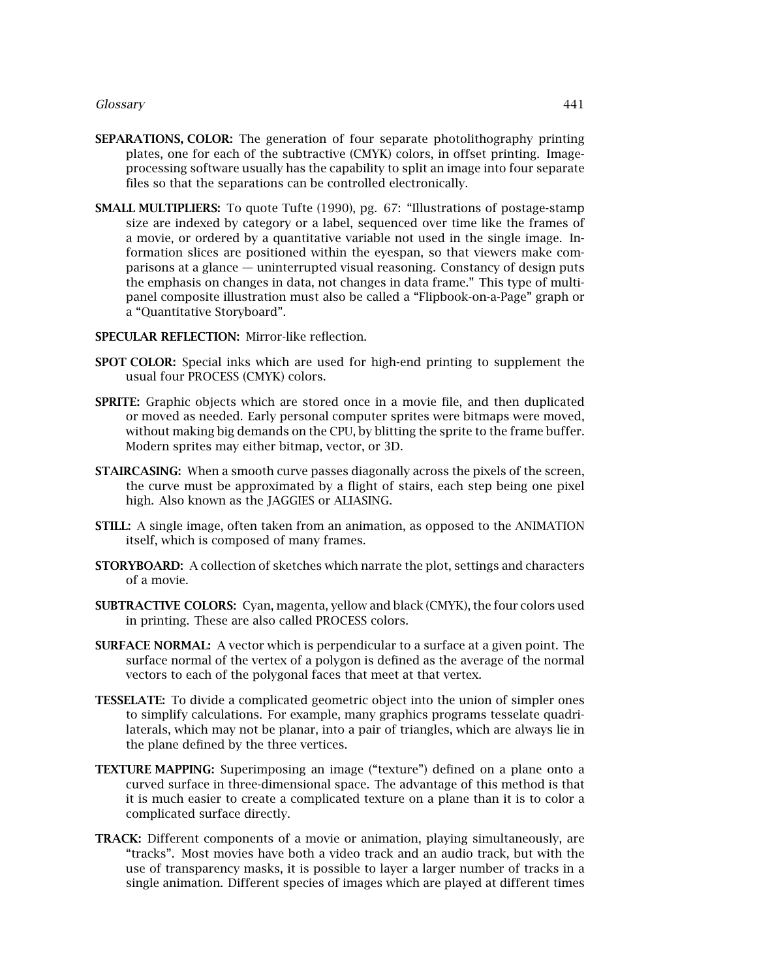#### *Glossary* 441

- **SEPARATIONS, COLOR:** The generation of four separate photolithography printing plates, one for each of the subtractive (CMYK) colors, in offset printing. Imageprocessing software usually has the capability to split an image into four separate files so that the separations can be controlled electronically.
- **SMALL MULTIPLIERS:** To quote Tufte (1990), pg. 67: "Illustrations of postage-stamp size are indexed by category or a label, sequenced over time like the frames of a movie, or ordered by a quantitative variable not used in the single image. Information slices are positioned within the eyespan, so that viewers make comparisons at a glance — uninterrupted visual reasoning. Constancy of design puts the emphasis on changes in data, not changes in data frame." This type of multipanel composite illustration must also be called a "Flipbook-on-a-Page" graph or a "Quantitative Storyboard".

## **SPECULAR REFLECTION:** Mirror-like reflection.

- **SPOT COLOR:** Special inks which are used for high-end printing to supplement the usual four PROCESS (CMYK) colors.
- **SPRITE:** Graphic objectswhich are stored once in a movie file, and then duplicated or moved as needed. Early personal computer sprites were bitmaps were moved, without making big demands on the CPU, by blitting the sprite to the frame buffer. Modern sprites may either bitmap, vector, or 3D.
- **STAIRCASING:** When a smooth curve passes diagonally across the pixels of the screen, the curve must be approximated by a flight of stairs, each step being one pixel high. Also known as the JAGGIES or ALIASING.
- **STILL:** A single image, often taken from an animation, as opposed to the ANIMATION itself, which is composed of many frames.
- **STORYBOARD:** A collection of sketches which narrate the plot, settings and characters of a movie.
- **SUBTRACTIVE COLORS:** Cyan, magenta, yellow and black (CMYK), the four colors used in printing. These are also called PROCESS colors.
- **SURFACE NORMAL:** A vector which is perpendicular to a surface at a given point. The surface normal of the vertex of a polygon is defined as the average of the normal vectors to each of the polygonal faces that meet at that vertex.
- **TESSELATE:** To divide a complicated geometric object into the union of simpler ones to simplify calculations. For example, many graphics programs tesselate quadrilaterals, which may not be planar, into a pair of triangles, which are always lie in the plane defined by the three vertices.
- **TEXTURE MAPPING:** Superimposing an image ("texture") defined on a plane onto a curved surface in three-dimensional space. The advantage of this method is that it is much easier to create a complicated texture on a plane than it is to color a complicated surface directly.
- **TRACK:** Different components of a movie or animation, playing simultaneously, are "tracks". Most movies have both a video track and an audio track, but with the use of transparency masks, it is possible to layer a larger number of tracks in a single animation. Different species of images which are played at different times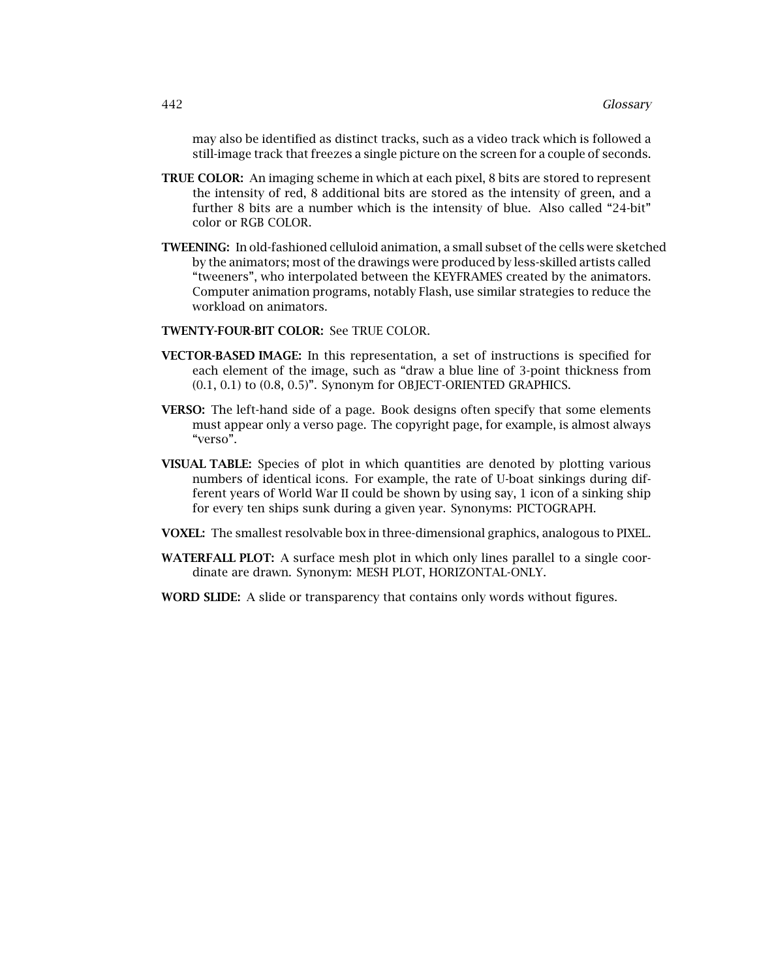may also be identified as distinct tracks, such as a video track which is followed a still-image track that freezes a single picture on the screen for a couple of seconds.

- **TRUE COLOR:** An imaging scheme in which at each pixel, 8 bits are stored to represent the intensity of red, 8 additional bits are stored as the intensity of green, and a further 8 bits are a number which is the intensity of blue. Also called "24-bit" color or RGB COLOR.
- **TWEENING:** In old-fashioned celluloid animation, a small subset of the cells were sketched by the animators; most of the drawings were produced by less-skilled artists called "tweeners", who interpolated between the KEYFRAMES created by the animators. Computer animation programs, notably Flash, use similar strategies to reduce the workload on animators.
- **TWENTY-FOUR-BIT COLOR:** See TRUE COLOR.
- **VECTOR-BASED IMAGE:** In this representation, a set of instructions is specified for each element of the image, such as "draw a blue line of 3-point thickness from (0.1, 0.1) to (0.8, 0.5)". Synonym for OBJECT-ORIENTED GRAPHICS.
- **VERSO:** The left-hand side of a page. Book designs often specify that some elements must appear only a verso page. The copyright page, for example, is almost always "verso".
- **VISUAL TABLE:** Species of plot in which quantities are denoted by plotting various numbers of identical icons. For example, the rate of U-boat sinkings during different years of World War II could be shown by using say, 1 icon of a sinking ship for every ten ships sunk during a given year. Synonyms: PICTOGRAPH.
- **VOXEL:** The smallest resolvable box in three-dimensional graphics, analogous to PIXEL.
- **WATERFALL PLOT:** A surface mesh plot in which only lines parallel to a single coordinate are drawn. Synonym: MESH PLOT, HORIZONTAL-ONLY.
- **WORD SLIDE:** A slide or transparency that contains only words without figures.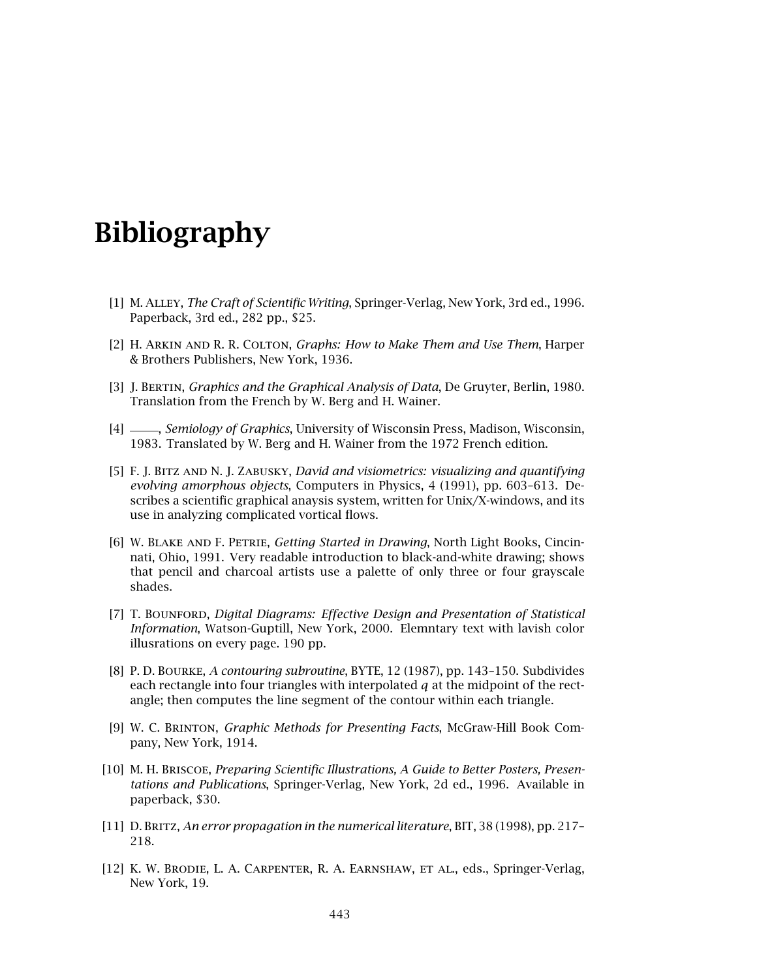# **Bibliography**

- [1] M. Alley, *The Craft of Scientific Writing*, Springer-Verlag, New York, 3rd ed., 1996. Paperback, 3rd ed., 282 pp., \$25.
- [2] H. Arkin and R. R. Colton, *Graphs: How to Make Them and Use Them*, Harper & Brothers Publishers, New York, 1936.
- [3] J. Bertin, *Graphics and the Graphical Analysis of Data*, De Gruyter, Berlin, 1980. Translation from the French by W. Berg and H. Wainer.
- [4] , *Semiology of Graphics*, University of Wisconsin Press, Madison, Wisconsin, 1983. Translated by W. Berg and H. Wainer from the 1972 French edition.
- [5] F. J. Bitz and N. J. Zabusky, *David and visiometrics: visualizing and quantifying evolving amorphous objects*, Computers in Physics, 4 (1991), pp. 603–613. Describes a scientific graphical anaysis system, written for Unix/X-windows, and its use in analyzing complicated vortical flows.
- [6] W. Blake and F. Petrie, *Getting Started in Drawing*, North Light Books, Cincinnati, Ohio, 1991. Very readable introduction to black-and-white drawing; shows that pencil and charcoal artists use a palette of only three or four grayscale shades.
- [7] T. BOUNFORD, *Digital Diagrams: Effective Design and Presentation of Statistical Information*, Watson-Guptill, New York, 2000. Elemntary text with lavish color illusrations on every page. 190 pp.
- [8] P. D. Bourke, *Acontouring subroutine*, BYTE, 12 (1987), pp. 143–150. Subdivides each rectangle into four triangleswith interpolated *q* at the midpoint of the rectangle; then computes the line segment of the contour within each triangle.
- [9] W. C. Brinton, *Graphic Methods for Presenting Facts*, McGraw-Hill Book Company, New York, 1914.
- [10] M. H. Briscoe, *Preparing Scientific Illustrations, AGuide to Better Posters, Presentations and Publications*, Springer-Verlag, New York, 2d ed., 1996. Available in paperback, \$30.
- [11] D. Britz, *An error propagation in the numerical literature*, BIT, 38 (1998), pp. 217– 218.
- [12] K. W. Brodie, L. A. Carpenter, R. A. Earnshaw, et al., eds., Springer-Verlag, New York, 19.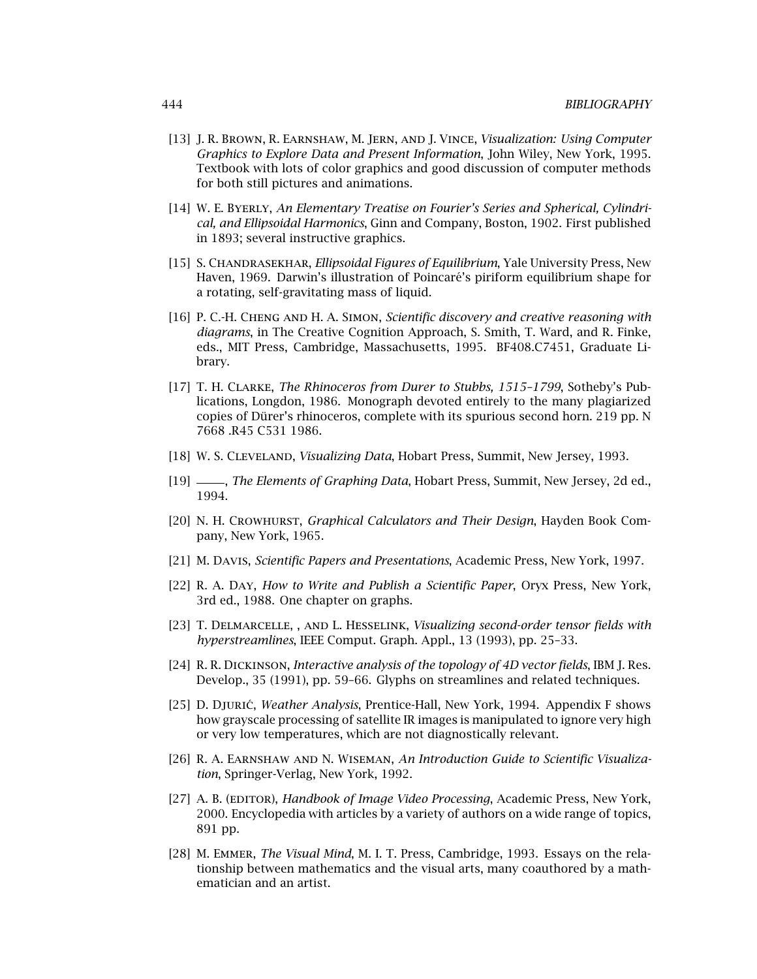- [13] J. R. Brown, R. Earnshaw, M. Jern, and J. Vince, *Visualization: Using Computer Graphics to Explore Data and Present Information*, John Wiley, New York, 1995. Textbook with lots of color graphics and good discussion of computer methods for both still pictures and animations.
- [14] W. E. Byerly, *An Elementary Treatise on Fourier's Series and Spherical, Cylindrical, and Ellipsoidal Harmonics*, Ginn and Company, Boston, 1902. First published in 1893; several instructive graphics.
- [15] S. Chandrasekhar, *Ellipsoidal Figures of Equilibrium*, Yale University Press, New Haven, 1969. Darwin's illustration of Poincaré's piriform equilibrium shape for a rotating, self-gravitating mass of liquid.
- [16] P. C.-H. Cheng and H. A. Simon, *Scientific discovery and creative reasoning with diagrams*, in The Creative Cognition Approach, S. Smith, T. Ward, and R. Finke, eds., MIT Press, Cambridge, Massachusetts, 1995. BF408.C7451, Graduate Library.
- [17] T. H. CLARKE, *The Rhinoceros from Durer to Stubbs, 1515-1799*, Sotheby's Publications, Longdon, 1986. Monograph devoted entirely to the many plagiarized copies of Dürer's rhinoceros, complete with its spurious second horn. 219 pp. N 7668 .R45 C531 1986.
- [18] W. S. Cleveland, *Visualizing Data*, Hobart Press, Summit, New Jersey, 1993.
- [19] , *The Elements of Graphing Data*, Hobart Press, Summit, New Jersey, 2d ed., 1994.
- [20] N. H. Crowhurst, *Graphical Calculators and Their Design*, Hayden Book Company, New York, 1965.
- [21] M. Davis, *Scientific Papers and Presentations*, Academic Press, New York, 1997.
- [22] R. A. Day, *How to Write and Publish a Scientific Paper*, Oryx Press, New York, 3rd ed., 1988. One chapter on graphs.
- [23] T. Delmarcelle, , and L. Hesselink, *Visualizing second-order tensor fields with hyperstreamlines*, IEEE Comput. Graph. Appl., 13 (1993), pp. 25–33.
- [24] R. R. Dickinson, *Interactive analysis of the topology of 4D vector fields*, IBM J. Res. Develop., 35 (1991), pp. 59-66. Glyphs on streamlines and related techniques.
- [25] D. Djuric´, *Weather Analysis*, Prentice-Hall, New York, 1994. Appendix F shows how grayscale processing of satellite IR images is manipulated to ignore very high or very low temperatures, which are not diagnostically relevant.
- [26] R. A. Earnshaw and N. Wiseman, *An Introduction Guide to Scientific Visualization*, Springer-Verlag, New York, 1992.
- [27] A. B. (EDITOR), *Handbook of Image Video Processing*, Academic Press, New York, 2000. Encyclopedia with articles by a variety of authors on a wide range of topics, 891 pp.
- [28] M. Emmer, *The Visual Mind*, M. I. T. Press, Cambridge, 1993. Essays on the relationship between mathematics and the visual arts, many coauthored by a mathematician and an artist.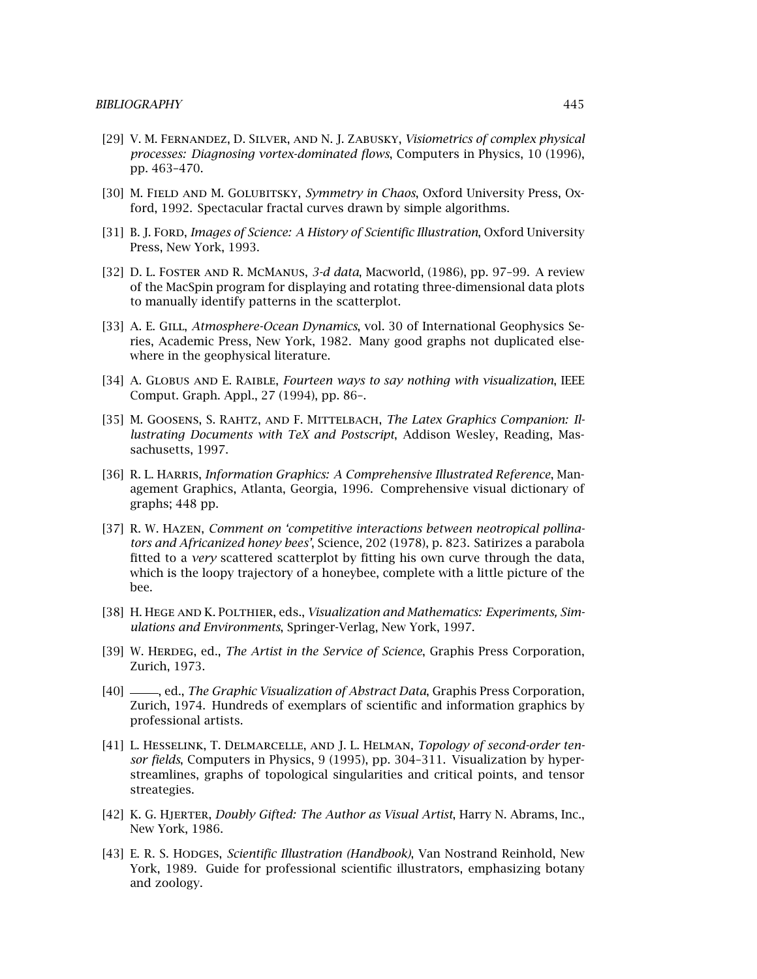- [29] V. M. Fernandez, D. Silver, and N. J. Zabusky, *Visiometrics of complex physical processes: Diagnosing vortex-dominated flows*, Computers in Physics, 10 (1996), pp. 463–470.
- [30] M. Field and M. Golubitsky, *Symmetry in Chaos*, Oxford University Press, Oxford, 1992. Spectacular fractal curves drawn by simple algorithms.
- [31] B. J. Ford, *Images of Science: A History of Scientific Illustration*, Oxford University Press, New York, 1993.
- [32] D. L. Foster and R. McManus, *3-d data*, Macworld, (1986), pp. 97–99. A review of the MacSpin program for displaying and rotating three-dimensional data plots to manually identify patterns in the scatterplot.
- [33] A. E. GILL, *Atmosphere-Ocean Dynamics*, vol. 30 of International Geophysics Series, Academic Press, New York, 1982. Many good graphs not duplicated elsewhere in the geophysical literature.
- [34] A. Globus and E. Raible, *Fourteen ways to say nothing with visualization*, IEEE Comput. Graph. Appl., 27 (1994), pp. 86–.
- [35] M. Goosens, S. Rahtz, and F. Mittelbach, *The Latex Graphics Companion: Illustrating Documents with TeX and Postscript*, Addison Wesley, Reading, Massachusetts, 1997.
- [36] R. L. Harris, *Information Graphics: AComprehensive Illustrated Reference*, Management Graphics, Atlanta, Georgia, 1996. Comprehensive visual dictionary of graphs; 448 pp.
- [37] R. W. Hazen, *Comment on 'competitive interactions between neotropical pollina*tors and Africanized honey bees', Science, 202 (1978), p. 823. Satirizes a parabola fitted to a *very* scattered scatterplot by fitting his own curve through the data, which is the loopy trajectory of a honeybee, complete with a little picture of the bee.
- [38] H. HEGE AND K. POLTHIER, eds., *Visualization and Mathematics: Experiments, Simulations and Environments*, Springer-Verlag, New York, 1997.
- [39] W. HERDEG, ed., *The Artist in the Service of Science*, Graphis Press Corporation, Zurich, 1973.
- [40]  $\equiv$ , ed., *The Graphic Visualization of Abstract Data*, Graphis Press Corporation, Zurich, 1974. Hundreds of exemplars of scientific and information graphics by professional artists.
- [41] L. Hesselink, T. Delmarcelle, and J. L. Helman, *Topology of second-order tensor fields*, Computers in Physics, 9 (1995), pp. 304–311. Visualization by hyperstreamlines, graphs of topological singularities and critical points, and tensor streategies.
- [42] K. G. Hjerter, *Doubly Gifted: The Author as Visual Artist*, Harry N. Abrams, Inc., New York, 1986.
- [43] E. R. S. HODGES, *Scientific Illustration (Handbook)*, Van Nostrand Reinhold, New York, 1989. Guide for professional scientific illustrators, emphasizing botany and zoology.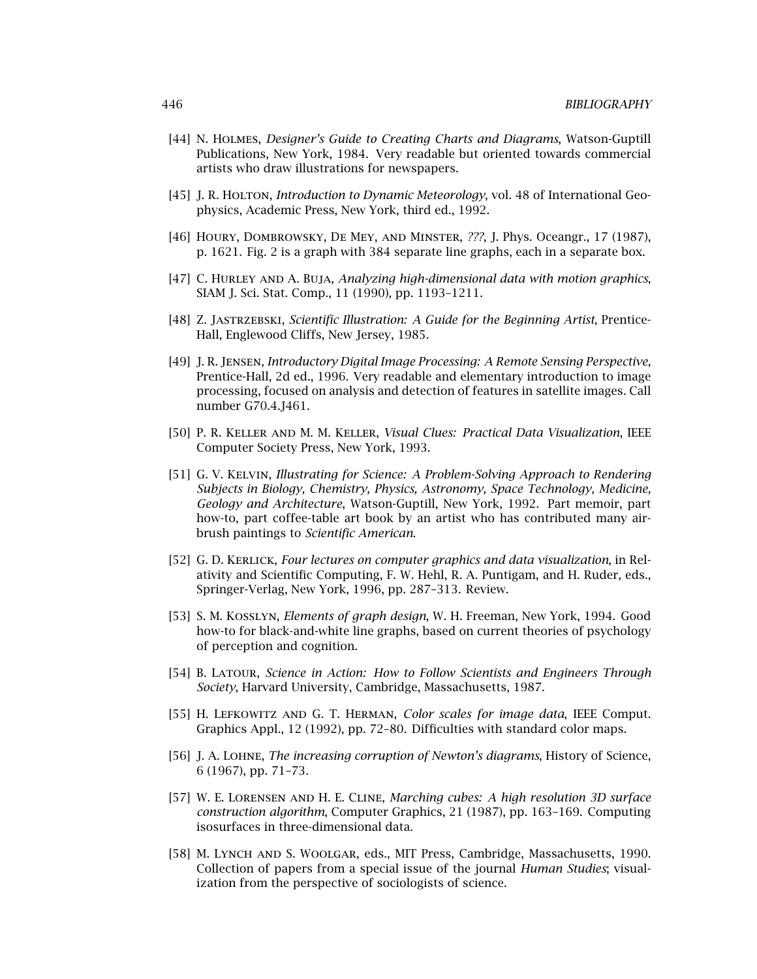- [44] N. Holmes, *Designer's Guide to Creating Charts and Diagrams*, Watson-Guptill Publications, New York, 1984. Very readable but oriented towards commercial artists who draw illustrations for newspapers.
- [45] J. R. HOLTON, *Introduction to Dynamic Meteorology*, vol. 48 of International Geophysics, Academic Press, New York, third ed., 1992.
- [46] Houry, Dombrowsky, De Mey, and Minster, *???*, J. Phys. Oceangr., 17 (1987), p. 1621. Fig. 2 is a graph with 384 separate line graphs, each in a separate box.
- [47] C. Hurley and A. Buja, *Analyzing high-dimensional data with motion graphics*, SIAM J. Sci. Stat. Comp., 11 (1990), pp. 1193–1211.
- [48] Z. Jastrzebski, *Scientific Illustration: AGuide for the Beginning Artist*, Prentice-Hall, Englewood Cliffs, New Jersey, 1985.
- [49] J. R. Jensen, *Introductory Digital Image Processing: ARemote Sensing Perspective*, Prentice-Hall, 2d ed., 1996. Very readable and elementary introduction to image processing, focused on analysis and detection of features in satellite images. Call number G70.4.J461.
- [50] P. R. Keller and M. M. Keller, *Visual Clues: Practical Data Visualization*, IEEE Computer Society Press, New York, 1993.
- [51] G. V. Kelvin, *Illustrating for Science: AProblem-Solving Approach to Rendering Subjects in Biology, Chemistry, Physics, Astronomy, Space Technology, Medicine, Geology and Architecture*, Watson-Guptill, New York, 1992. Part memoir, part how-to, part coffee-table art book by an artist who has contributed many airbrush paintings to *Scientific American*.
- [52] G. D. Kerlick, *Four lectures on computer graphics and data visualization*, in Relativity and Scientific Computing, F. W. Hehl, R. A. Puntigam, and H. Ruder, eds., Springer-Verlag, New York, 1996, pp. 287–313. Review.
- [53] S. M. Kosslyn, *Elements of graph design*, W. H. Freeman, New York, 1994. Good how-to for black-and-white line graphs, based on current theories of psychology of perception and cognition.
- [54] B. Latour, *Science in Action: How to Follow Scientists and Engineers Through Society*, Harvard University, Cambridge, Massachusetts, 1987.
- [55] H. Lefkowitz and G. T. Herman, *Color scales for image data*, IEEE Comput. Graphics Appl., 12 (1992), pp. 72–80. Difficulties with standard color maps.
- [56] J. A. Lohne, *The increasing corruption of Newton's diagrams*, History of Science, 6 (1967), pp. 71–73.
- [57] W. E. Lorensen and H. E. Cline, *Marching cubes: Ahigh resolution 3D surface construction algorithm*, Computer Graphics, 21 (1987), pp. 163–169. Computing isosurfaces in three-dimensional data.
- [58] M. Lynch and S. Woolgar, eds., MIT Press, Cambridge, Massachusetts, 1990. Collection of papers from a special issue of the journal *Human Studies*; visualization from the perspective of sociologists of science.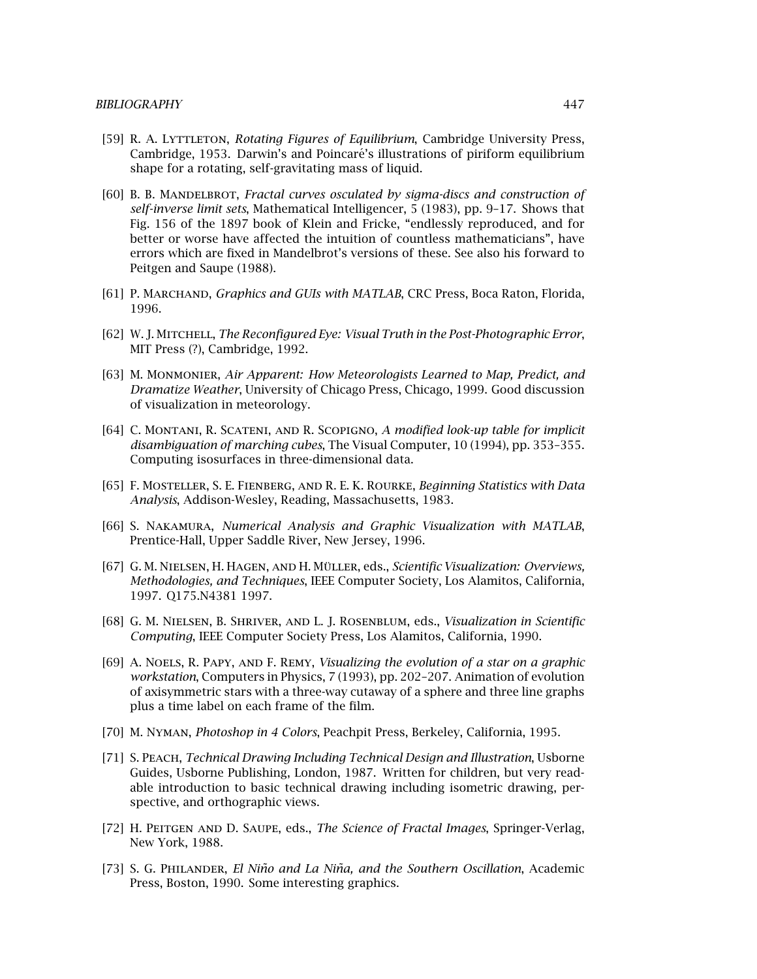- [59] R. A. Lyttleton, *Rotating Figures of Equilibrium*, Cambridge University Press, Cambridge, 1953. Darwin's and Poincaré's illustrations of piriform equilibrium shape for a rotating, self-gravitating mass of liquid.
- [60] B. B. Mandelbrot, *Fractal curves osculated by sigma-discs and construction of self-inverse limit sets*, Mathematical Intelligencer, 5 (1983), pp. 9–17. Showsthat Fig. 156 of the 1897 book of Klein and Fricke, "endlessly reproduced, and for better or worse have affected the intuition of countless mathematicians", have errors which are fixed in Mandelbrot's versions of these. See also his forward to Peitgen and Saupe (1988).
- [61] P. Marchand, *Graphics and GUIs with MATLAB*, CRC Press, Boca Raton, Florida, 1996.
- [62] W. J. Mitchell, *The Reconfigured Eye: Visual Truth in the Post-Photographic Error*, MIT Press (?), Cambridge, 1992.
- [63] M. Monmonier, *Air Apparent: How Meteorologists Learned to Map, Predict, and Dramatize Weather*, University of Chicago Press, Chicago, 1999. Good discussion of visualization in meteorology.
- [64] C. Montani, R. Scateni, and R. Scopigno, *Amodified look-up table for implicit disambiguation of marching cubes*, The Visual Computer, 10 (1994), pp. 353–355. Computing isosurfaces in three-dimensional data.
- [65] F. Mosteller, S. E. Fienberg, and R. E. K. Rourke, *Beginning Statistics with Data Analysis*, Addison-Wesley, Reading, Massachusetts, 1983.
- [66] S. Nakamura, *Numerical Analysis and Graphic Visualization with MATLAB*, Prentice-Hall, Upper Saddle River, New Jersey, 1996.
- [67] G. M. NIELSEN, H. HAGEN, AND H. MÜLLER, eds., *Scientific Visualization: Overviews*, *Methodologies, and Techniques, IEEE Computer Society, Los Alamitos, California,* 1997. Q175.N4381 1997.
- [68] G. M. Nielsen, B. Shriver, and L. J. Rosenblum, eds., *Visualization in Scientific Computing*, IEEE Computer Society Press, Los Alamitos, California, 1990.
- [69] A. Noels, R. Papy, and F. Remy, *Visualizing the evolution of a star on a graphic workstation*, Computers in Physics, 7 (1993), pp. 202–207. Animation of evolution of axisymmetric stars with a three-way cutaway of a sphere and three line graphs plus a time label on each frame of the film.
- [70] M. Nyman, *Photoshop in 4 Colors*, Peachpit Press, Berkeley, California, 1995.
- [71] S. Peach, *Technical Drawing Including Technical Design and Illustration*, Usborne Guides, Usborne Publishing, London, 1987. Written for children, but very readable introduction to basic technical drawing including isometric drawing, perspective, and orthographic views.
- [72] H. Peitgen and D. Saupe, eds., *The Science of Fractal Images*, Springer-Verlag, New York, 1988.
- [73] S. G. PHILANDER, *El Niño and La Niña, and the Southern Oscillation*, Academic Press, Boston, 1990. Some interesting graphics.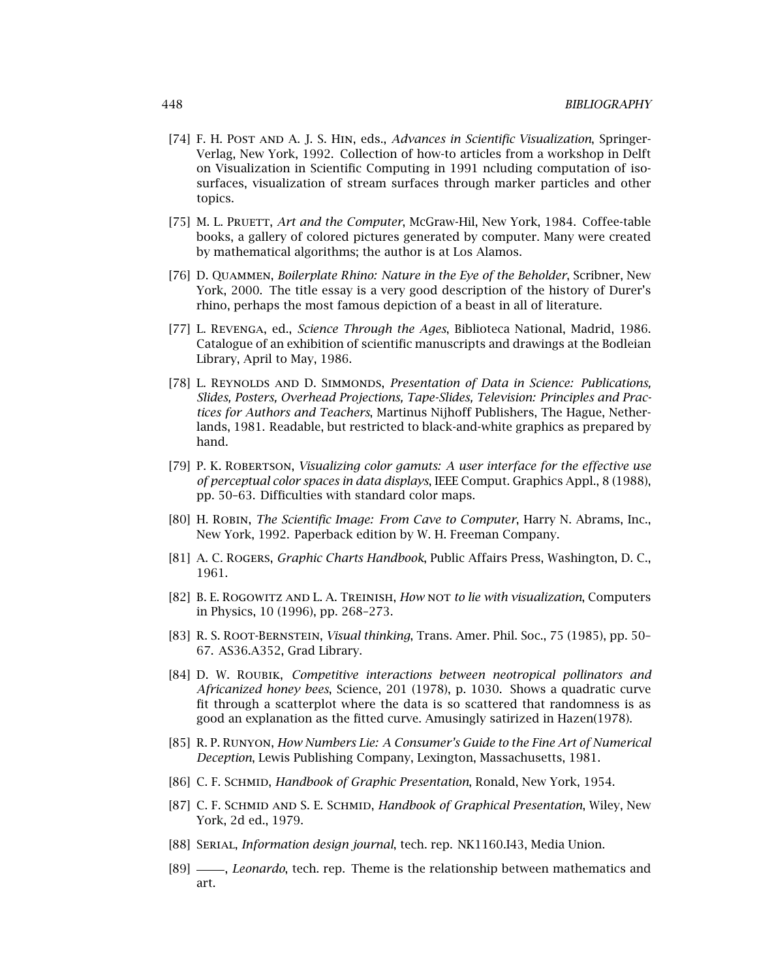- [74] F. H. Post and A. J. S. Hin, eds., *Advances in Scientific Visualization*, Springer-Verlag, New York, 1992. Collection of how-to articlesfrom a workshop in Delft on Visualization in Scientific Computing in 1991 ncluding computation of isosurfaces, visualization of stream surfaces through marker particles and other topics.
- [75] M. L. PRUETT, *Art and the Computer*, McGraw-Hil, New York, 1984. Coffee-table books, a gallery of colored pictures generated by computer. Many were created by mathematical algorithms; the author is at Los Alamos.
- [76] D. Quammen, *Boilerplate Rhino: Nature in the Eye of the Beholder*, Scribner, New York, 2000. The title essay is a very good description of the history of Durer's rhino, perhaps the most famous depiction of a beast in all of literature.
- [77] L. Revenga, ed., *Science Through the Ages*, Biblioteca National, Madrid, 1986. Catalogue of an exhibition of scientific manuscripts and drawings at the Bodleian Library, April to May, 1986.
- [78] L. Reynolds and D. Simmonds, *Presentation of Data in Science: Publications, Slides, Posters, Overhead Projections, Tape-Slides, Television: Principles and Practices for Authors and Teachers*, Martinus Nijhoff Publishers, The Hague, Netherlands, 1981. Readable, but restricted to black-and-white graphics as prepared by hand.
- [79] P. K. Robertson, *Visualizing color gamuts: Auser interface for the effective use of perceptual color spaces in data displays*, IEEE Comput. Graphics Appl., 8 (1988), pp. 50–63. Difficulties with standard color maps.
- [80] H. Robin, *The Scientific Image: From Cave to Computer*, Harry N. Abrams, Inc., New York, 1992. Paperback edition by W. H. Freeman Company.
- [81] A. C. Rogers, *Graphic Charts Handbook*, Public Affairs Press, Washington, D. C., 1961.
- [82] B. E. Rogowitz and L. A. Treinish, *How* not *to lie with visualization*, Computers in Physics, 10 (1996), pp. 268–273.
- [83] R. S. Root-Bernstein, *Visual thinking*, Trans. Amer. Phil. Soc., 75 (1985), pp. 50– 67. AS36.A352, Grad Library.
- [84] D. W. Roubik, *Competitive interactions between neotropical pollinators and Africanized honey bees*, Science, 201 (1978), p. 1030. Showsa quadratic curve fit through a scatterplot where the data is so scattered that randomness is as good an explanation as the fitted curve. Amusingly satirized in Hazen(1978).
- [85] R. P. Runyon, *How Numbers Lie: AConsumer's Guide to the Fine Art of Numerical Deception*, Lewis Publishing Company, Lexington, Massachusetts, 1981.
- [86] C. F. Schmid, *Handbook of Graphic Presentation*, Ronald, New York, 1954.
- [87] C. F. SCHMID AND S. E. SCHMID, *Handbook of Graphical Presentation*, Wiley, New York, 2d ed., 1979.
- [88] Serial, *Information design journal*, tech. rep. NK1160.I43, Media Union.
- [89]  $\frac{1}{10}$ , *Leonardo*, tech. rep. Theme is the relationship between mathematics and art.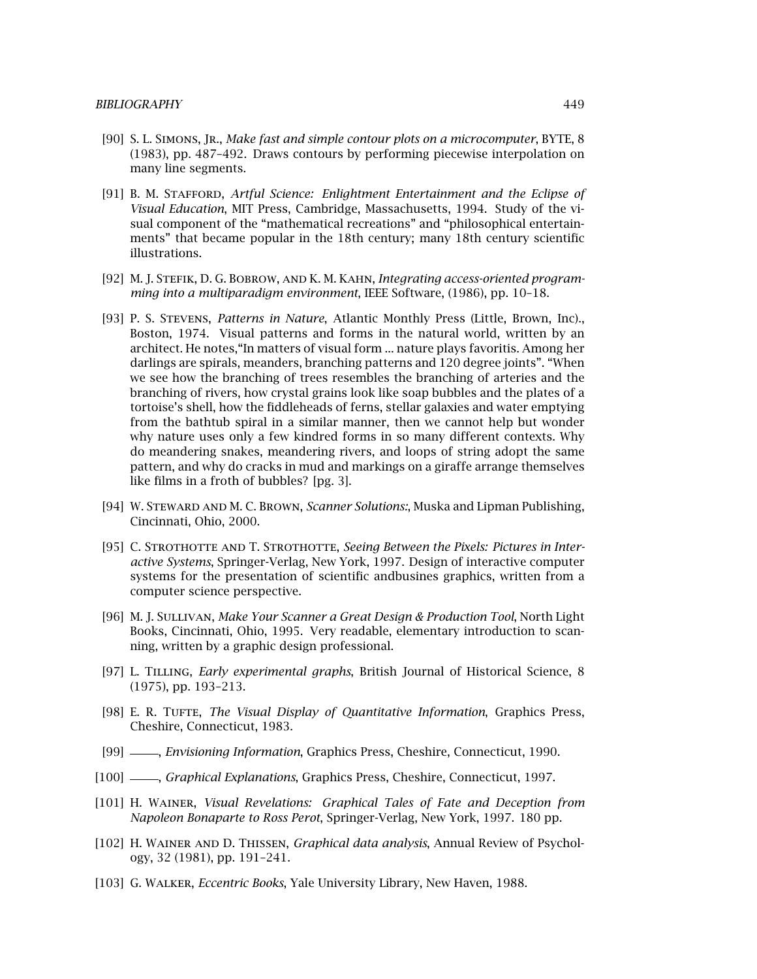- [90] S. L. Simons, Jr., *Make fast and simple contour plots on a microcomputer*, BYTE, 8 (1983), pp. 487–492. Drawscontoursby performing piecewise interpolation on many line segments.
- [91] B. M. Stafford, *Artful Science: Enlightment Entertainment and the Eclipse of Visual Education*, MIT Press, Cambridge, Massachusetts, 1994. Study of the visual component of the "mathematical recreations" and "philosophical entertainments" that became popular in the 18th century; many 18th century scientific illustrations.
- [92] M. J. Stefik, D. G. Bobrow, and K. M. Kahn, *Integrating access-oriented programming into a multiparadigm environment*, IEEE Software, (1986), pp. 10–18.
- [93] P. S. Stevens, *Patterns in Nature*, Atlantic Monthly Press (Little, Brown, Inc)., Boston, 1974. Visual patterns and forms in the natural world, written by an architect. He notes,"In matters of visual form ... nature plays favoritis. Among her darlings are spirals, meanders, branching patterns and 120 degree joints". "When we see how the branching of trees resembles the branching of arteries and the branching of rivers, how crystal grains look like soap bubbles and the plates of a tortoise's shell, how the fiddleheads of ferns, stellar galaxies and water emptying from the bathtub spiral in a similar manner, then we cannot help but wonder why nature uses only a few kindred forms in so many different contexts. Why do meandering snakes, meandering rivers, and loops of string adopt the same pattern, and why do cracks in mud and markings on a giraffe arrange themselves like films in a froth of bubbles? [pg. 3].
- [94] W. Steward and M. C. Brown, *Scanner Solutions:*, Muska and Lipman Publishing, Cincinnati, Ohio, 2000.
- [95] C. STROTHOTTE AND T. STROTHOTTE, *Seeing Between the Pixels: Pictures in Interactive Systems*, Springer-Verlag, New York, 1997. Design of interactive computer systems for the presentation of scientific andbusines graphics, written from a computer science perspective.
- [96] M. J. Sullivan, *Make Your Scanner a Great Design & Production Tool*, North Light Books, Cincinnati, Ohio, 1995. Very readable, elementary introduction to scanning, written by a graphic design professional.
- [97] L. Tilling, *Early experimental graphs*, British Journal of Historical Science, 8 (1975), pp. 193–213.
- [98] E. R. TUFTE, *The Visual Display of Quantitative Information*, Graphics Press, Cheshire, Connecticut, 1983.
- [99] , *Envisioning Information*, Graphics Press, Cheshire, Connecticut, 1990.
- [100] , *Graphical Explanations*, Graphics Press, Cheshire, Connecticut, 1997.
- [101] H. Wainer, *Visual Revelations: Graphical Tales of Fate and Deception from Napoleon Bonaparte to Ross Perot*, Springer-Verlag, New York, 1997. 180 pp.
- [102] H. Wainer and D. Thissen, *Graphical data analysis*, Annual Review of Psychology, 32 (1981), pp. 191–241.
- [103] G. Walker, *Eccentric Books*, Yale University Library, New Haven, 1988.